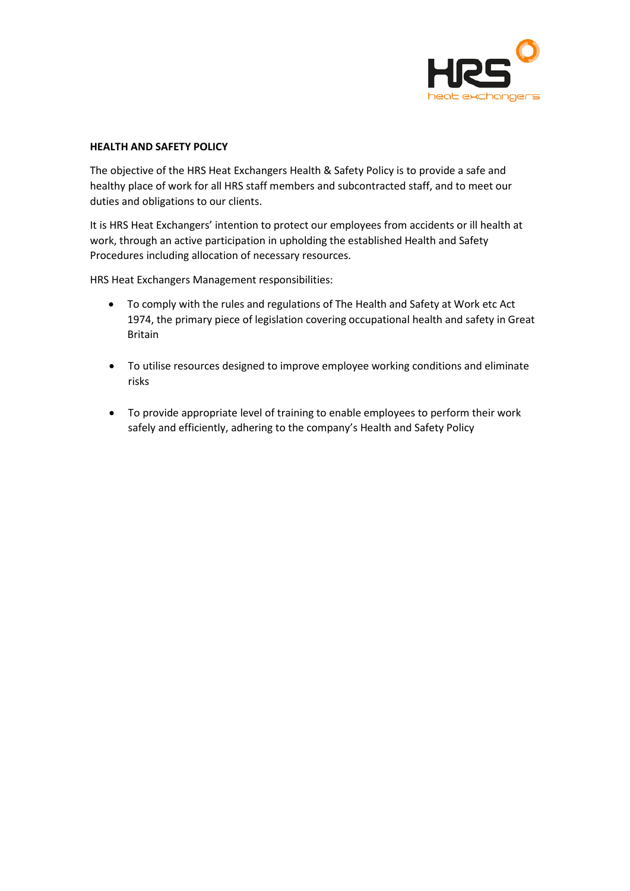

## **HEALTH AND SAFETY POLICY**

The objective of the HRS Heat Exchangers Health & Safety Policy is to provide a safe and healthy place of work for all HRS staff members and subcontracted staff, and to meet our duties and obligations to our clients.

It is HRS Heat Exchangers' intention to protect our employees from accidents or ill health at work, through an active participation in upholding the established Health and Safety Procedures including allocation of necessary resources.

HRS Heat Exchangers Management responsibilities:

- To comply with the rules and regulations of The Health and Safety at Work etc Act 1974, the primary piece of legislation covering occupational health and safety in Great Britain
- To utilise resources designed to improve employee working conditions and eliminate risks
- To provide appropriate level of training to enable employees to perform their work safely and efficiently, adhering to the company's Health and Safety Policy